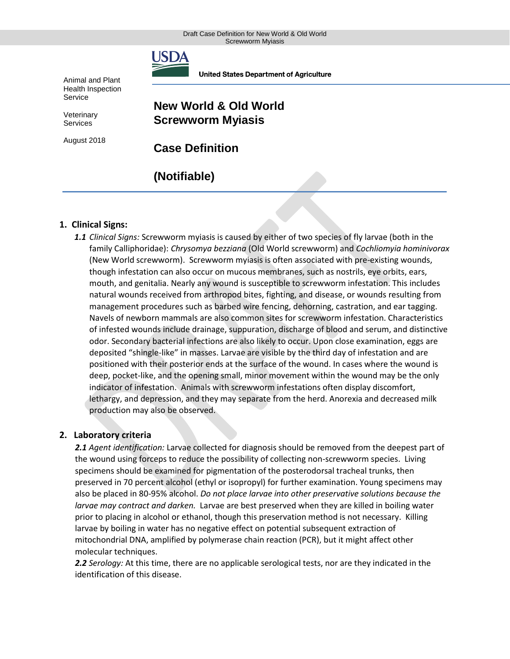

**United States Department of Agriculture** 

Animal and Plant Health Inspection Service

Veterinary **Services** 

August 2018

## **New World & Old World Screwworm Myiasis**

**Case Definition**

# **(Notifiable)**

### **1. Clinical Signs:**

*1.1 Clinical Signs:* Screwworm myiasis is caused by either of two species of fly larvae (both in the family Calliphoridae): *Chrysomya bezziana* (Old World screwworm) and *Cochliomyia hominivorax*  (New World screwworm). Screwworm myiasis is often associated with pre-existing wounds, though infestation can also occur on mucous membranes, such as nostrils, eye orbits, ears, mouth, and genitalia. Nearly any wound is susceptible to screwworm infestation. This includes natural wounds received from arthropod bites, fighting, and disease, or wounds resulting from management procedures such as barbed wire fencing, dehorning, castration, and ear tagging. Navels of newborn mammals are also common sites for screwworm infestation. Characteristics of infested wounds include drainage, suppuration, discharge of blood and serum, and distinctive odor. Secondary bacterial infections are also likely to occur. Upon close examination, eggs are deposited "shingle-like" in masses. Larvae are visible by the third day of infestation and are positioned with their posterior ends at the surface of the wound. In cases where the wound is deep, pocket-like, and the opening small, minor movement within the wound may be the only indicator of infestation. Animals with screwworm infestations often display discomfort, lethargy, and depression, and they may separate from the herd. Anorexia and decreased milk production may also be observed.

#### **2. Laboratory criteria**

*2.1 Agent identification:* Larvae collected for diagnosis should be removed from the deepest part of the wound using forceps to reduce the possibility of collecting non-screwworm species. Living specimens should be examined for pigmentation of the posterodorsal tracheal trunks, then preserved in 70 percent alcohol (ethyl or isopropyl) for further examination. Young specimens may also be placed in 80-95% alcohol. *Do not place larvae into other preservative solutions because the larvae may contract and darken.* Larvae are best preserved when they are killed in boiling water prior to placing in alcohol or ethanol, though this preservation method is not necessary. Killing larvae by boiling in water has no negative effect on potential subsequent extraction of mitochondrial DNA, amplified by polymerase chain reaction (PCR), but it might affect other molecular techniques.

*2.2 Serology:* At this time, there are no applicable serological tests, nor are they indicated in the identification of this disease.